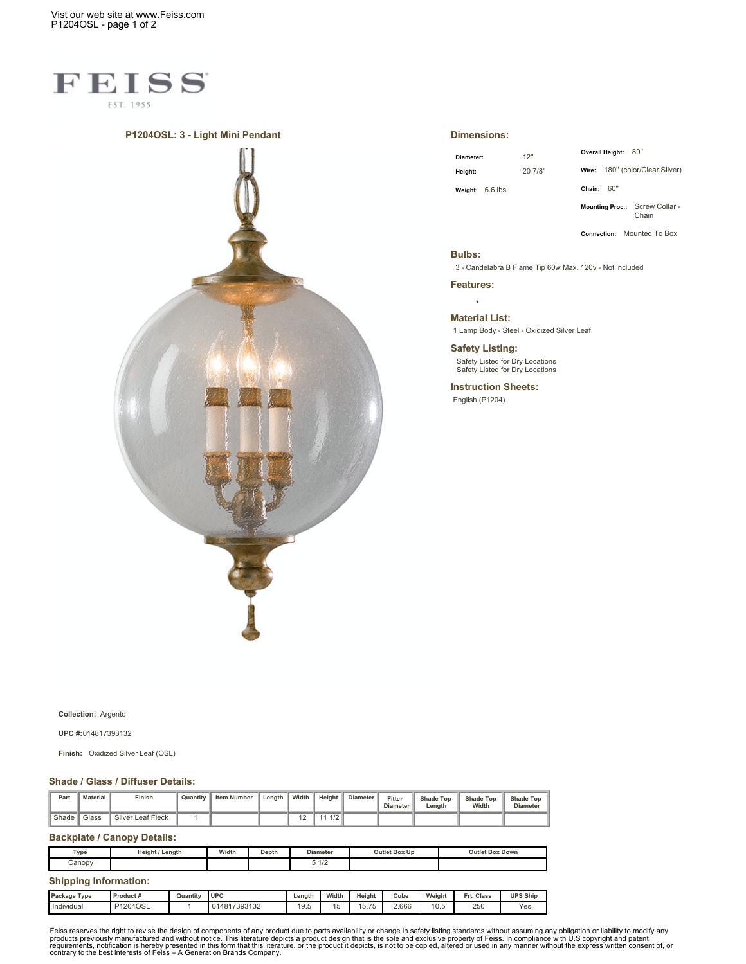Vist our web site at www.Feiss.com P1204OSL - page 1 of 2



### **P1204OSL: 3 - Light Mini Pendant**



#### **Dimensions:**

| Diameter: |            |  |  |  |  |  |
|-----------|------------|--|--|--|--|--|
| Height:   |            |  |  |  |  |  |
| Weight:   | $6.6$ lbs. |  |  |  |  |  |

**Diameter:** 12'' **Height:** 20 7/8''

**Wire:** 180'' (color/Clear Silver)

**Overall Height:** 80''

**Chain:** 60''

**Mounting Proc.:** Screw Collar - Chain

**Connection:** Mounted To Box

### **Bulbs:**

3 - Candelabra B Flame Tip 60w Max. 120v - Not included

**Features:**  $\overline{a}$ 

### **Material List:**

1 Lamp Body - Steel - Oxidized Silver Leaf

# **Safety Listing:**

Safety Listed for Dry Locations Safety Listed for Dry Locations

**Instruction Sheets:** English (P1204)

**Collection:** Argento

**UPC #:**014817393132

**Finish:** Oxidized Silver Leaf (OSL)

#### **Shade / Glass / Diffuser Details:**

| Part  | <b>Material</b> | Finish            | Quantity | <b>Item Number</b> | Length | Width          | Height           | <b>Diameter</b> | Fitter<br><b>Diameter</b> | <b>Shade Top</b><br>Length | <b>Shade Top</b><br>Width | <b>Shade Top</b><br><b>Diameter</b> |
|-------|-----------------|-------------------|----------|--------------------|--------|----------------|------------------|-----------------|---------------------------|----------------------------|---------------------------|-------------------------------------|
| Shade | Glass           | Silver Leaf Fleck |          |                    |        | $\overline{a}$ | $\overline{110}$ |                 |                           |                            |                           |                                     |

## **Backplate / Canopy Details:**

| Type                         | Height / Length |          | Width        | Depth | <b>Diameter</b> |       | Outlet Box Up |       |        | <b>Outlet Box Down</b> |                 |  |
|------------------------------|-----------------|----------|--------------|-------|-----------------|-------|---------------|-------|--------|------------------------|-----------------|--|
| Canopy                       |                 |          |              |       | 51/2            |       |               |       |        |                        |                 |  |
| <b>Shipping Information:</b> |                 |          |              |       |                 |       |               |       |        |                        |                 |  |
| Package Type                 | Product#        | Quantity | <b>UPC</b>   |       | Lenath          | Width | Height        | Cube  | Weight | Frt. Class             | <b>UPS Ship</b> |  |
| Individual                   | P1204OSL        |          | 014817393132 |       | 19.5            | 15    | 15.75         | 2.666 | 10.5   | 250                    | Yes             |  |

Feiss reserves the right to revise the design of components of any product due to parts availability or change in safety listing standards without assuming any obligation or liability to modify any product due to parts ava